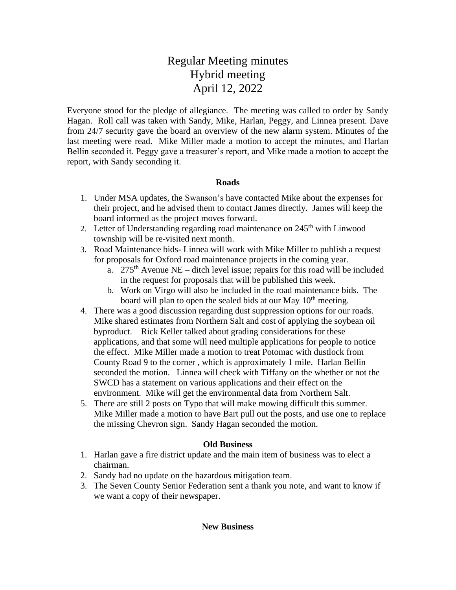## Regular Meeting minutes Hybrid meeting April 12, 2022

Everyone stood for the pledge of allegiance. The meeting was called to order by Sandy Hagan. Roll call was taken with Sandy, Mike, Harlan, Peggy, and Linnea present. Dave from 24/7 security gave the board an overview of the new alarm system. Minutes of the last meeting were read. Mike Miller made a motion to accept the minutes, and Harlan Bellin seconded it. Peggy gave a treasurer's report, and Mike made a motion to accept the report, with Sandy seconding it.

## **Roads**

- 1. Under MSA updates, the Swanson's have contacted Mike about the expenses for their project, and he advised them to contact James directly. James will keep the board informed as the project moves forward.
- 2. Letter of Understanding regarding road maintenance on  $245<sup>th</sup>$  with Linwood township will be re-visited next month.
- 3. Road Maintenance bids- Linnea will work with Mike Miller to publish a request for proposals for Oxford road maintenance projects in the coming year.
	- a.  $275<sup>th</sup>$  Avenue NE ditch level issue; repairs for this road will be included in the request for proposals that will be published this week.
	- b. Work on Virgo will also be included in the road maintenance bids. The board will plan to open the sealed bids at our May  $10<sup>th</sup>$  meeting.
- 4. There was a good discussion regarding dust suppression options for our roads. Mike shared estimates from Northern Salt and cost of applying the soybean oil byproduct. Rick Keller talked about grading considerations for these applications, and that some will need multiple applications for people to notice the effect. Mike Miller made a motion to treat Potomac with dustlock from County Road 9 to the corner , which is approximately 1 mile. Harlan Bellin seconded the motion. Linnea will check with Tiffany on the whether or not the SWCD has a statement on various applications and their effect on the environment. Mike will get the environmental data from Northern Salt.
- 5. There are still 2 posts on Typo that will make mowing difficult this summer. Mike Miller made a motion to have Bart pull out the posts, and use one to replace the missing Chevron sign. Sandy Hagan seconded the motion.

## **Old Business**

- 1. Harlan gave a fire district update and the main item of business was to elect a chairman.
- 2. Sandy had no update on the hazardous mitigation team.
- 3. The Seven County Senior Federation sent a thank you note, and want to know if we want a copy of their newspaper.

## **New Business**